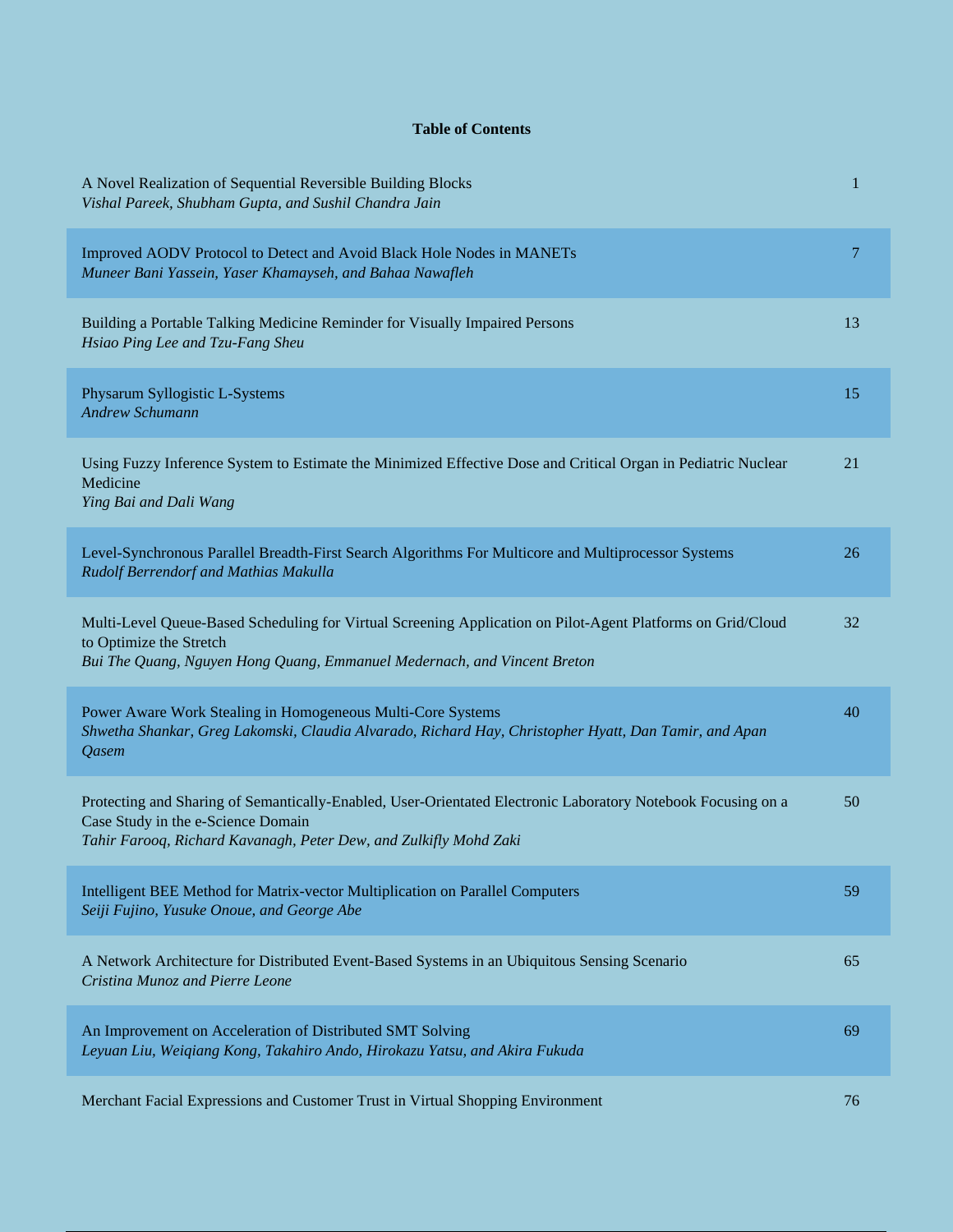## **Table of Contents**

| A Novel Realization of Sequential Reversible Building Blocks<br>Vishal Pareek, Shubham Gupta, and Sushil Chandra Jain                                                                                                   | 1  |
|-------------------------------------------------------------------------------------------------------------------------------------------------------------------------------------------------------------------------|----|
| Improved AODV Protocol to Detect and Avoid Black Hole Nodes in MANETs<br>Muneer Bani Yassein, Yaser Khamayseh, and Bahaa Nawafleh                                                                                       | 7  |
| Building a Portable Talking Medicine Reminder for Visually Impaired Persons<br>Hsiao Ping Lee and Tzu-Fang Sheu                                                                                                         | 13 |
| Physarum Syllogistic L-Systems<br><b>Andrew Schumann</b>                                                                                                                                                                | 15 |
| Using Fuzzy Inference System to Estimate the Minimized Effective Dose and Critical Organ in Pediatric Nuclear<br>Medicine<br>Ying Bai and Dali Wang                                                                     | 21 |
| Level-Synchronous Parallel Breadth-First Search Algorithms For Multicore and Multiprocessor Systems<br>Rudolf Berrendorf and Mathias Makulla                                                                            | 26 |
| Multi-Level Queue-Based Scheduling for Virtual Screening Application on Pilot-Agent Platforms on Grid/Cloud<br>to Optimize the Stretch<br>Bui The Quang, Nguyen Hong Quang, Emmanuel Medernach, and Vincent Breton      | 32 |
| Power Aware Work Stealing in Homogeneous Multi-Core Systems<br>Shwetha Shankar, Greg Lakomski, Claudia Alvarado, Richard Hay, Christopher Hyatt, Dan Tamir, and Apan<br>Qasem                                           | 40 |
| Protecting and Sharing of Semantically-Enabled, User-Orientated Electronic Laboratory Notebook Focusing on a<br>Case Study in the e-Science Domain<br>Tahir Farooq, Richard Kavanagh, Peter Dew, and Zulkifly Mohd Zaki | 50 |
| Intelligent BEE Method for Matrix-vector Multiplication on Parallel Computers<br>Seiji Fujino, Yusuke Onoue, and George Abe                                                                                             | 59 |
| A Network Architecture for Distributed Event-Based Systems in an Ubiquitous Sensing Scenario<br>Cristina Munoz and Pierre Leone                                                                                         | 65 |
| An Improvement on Acceleration of Distributed SMT Solving<br>Leyuan Liu, Weiqiang Kong, Takahiro Ando, Hirokazu Yatsu, and Akira Fukuda                                                                                 | 69 |
| Merchant Facial Expressions and Customer Trust in Virtual Shopping Environment                                                                                                                                          | 76 |